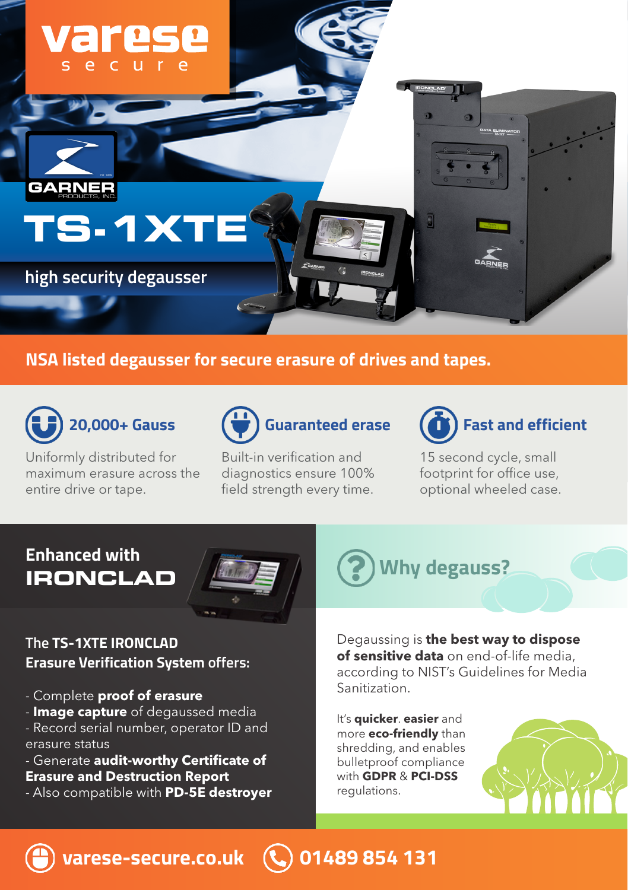

### **NSA listed degausser for secure erasure of drives and tapes.**



Uniformly distributed for maximum erasure across the entire drive or tape.



Built-in verification and diagnostics ensure 100% field strength every time.



15 second cycle, small footprint for office use, optional wheeled case.

# **Enhanced with**



#### **The TS-1XTE IRONCLAD Erasure Verification System offers:**

- Complete **proof of erasure**
- **Image capture** of degaussed media
- Record serial number, operator ID and erasure status
- Generate **audit-worthy Certificate of**
- **Erasure and Destruction Report**
- Also compatible with **PD-5E destroyer**

**IRONCLAD** Why degauss?

Degaussing is **the best way to dispose of sensitive data** on end-of-life media, according to NIST's Guidelines for Media Sanitization.

It's **quicker**. **easier** and more **eco-friendly** than shredding, and enables bulletproof compliance with **GDPR** & **PCI-DSS** regulations.